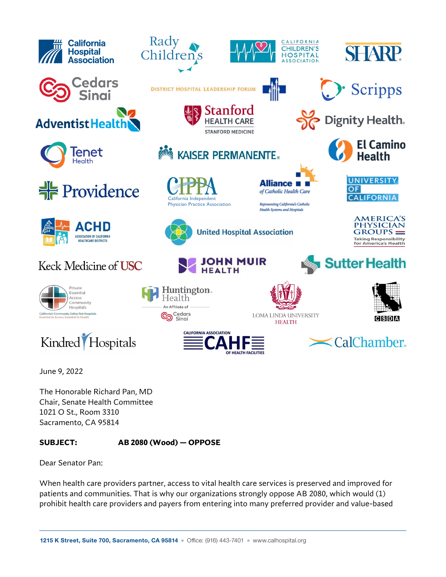

June 9, 2022

The Honorable Richard Pan, MD Chair, Senate Health Committee 1021 O St., Room 3310 Sacramento, CA 95814

## **SUBJECT: AB 2080 (Wood) — OPPOSE**

Dear Senator Pan:

When health care providers partner, access to vital health care services is preserved and improved for patients and communities. That is why our organizations strongly oppose AB 2080, which would (1) prohibit health care providers and payers from entering into many preferred provider and value-based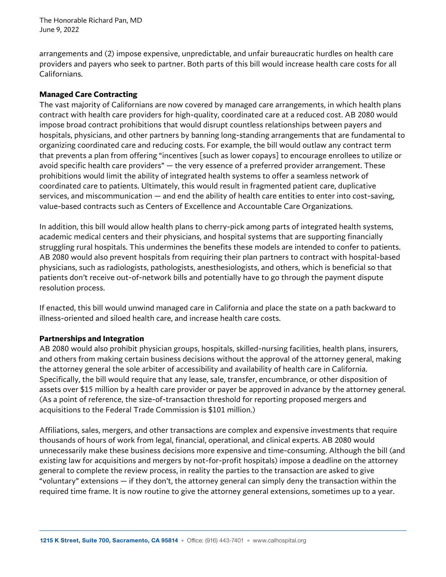The Honorable Richard Pan, MD June 9, 2022

arrangements and (2) impose expensive, unpredictable, and unfair bureaucratic hurdles on health care providers and payers who seek to partner. Both parts of this bill would increase health care costs for all Californians.

## **Managed Care Contracting**

The vast majority of Californians are now covered by managed care arrangements, in which health plans contract with health care providers for high-quality, coordinated care at a reduced cost. AB 2080 would impose broad contract prohibitions that would disrupt countless relationships between payers and hospitals, physicians, and other partners by banning long-standing arrangements that are fundamental to organizing coordinated care and reducing costs. For example, the bill would outlaw any contract term that prevents a plan from offering "incentives [such as lower copays] to encourage enrollees to utilize or avoid specific health care providers" — the very essence of a preferred provider arrangement. These prohibitions would limit the ability of integrated health systems to offer a seamless network of coordinated care to patients. Ultimately, this would result in fragmented patient care, duplicative services, and miscommunication — and end the ability of health care entities to enter into cost-saving, value-based contracts such as Centers of Excellence and Accountable Care Organizations.

In addition, this bill would allow health plans to cherry-pick among parts of integrated health systems, academic medical centers and their physicians, and hospital systems that are supporting financially struggling rural hospitals. This undermines the benefits these models are intended to confer to patients. AB 2080 would also prevent hospitals from requiring their plan partners to contract with hospital-based physicians, such as radiologists, pathologists, anesthesiologists, and others, which is beneficial so that patients don't receive out-of-network bills and potentially have to go through the payment dispute resolution process.

If enacted, this bill would unwind managed care in California and place the state on a path backward to illness-oriented and siloed health care, and increase health care costs.

## **Partnerships and Integration**

AB 2080 would also prohibit physician groups, hospitals, skilled-nursing facilities, health plans, insurers, and others from making certain business decisions without the approval of the attorney general, making the attorney general the sole arbiter of accessibility and availability of health care in California. Specifically, the bill would require that any lease, sale, transfer, encumbrance, or other disposition of assets over \$15 million by a health care provider or payer be approved in advance by the attorney general. (As a point of reference, the size-of-transaction threshold for reporting proposed mergers and acquisitions to the Federal Trade Commission is \$101 million.)

Affiliations, sales, mergers, and other transactions are complex and expensive investments that require thousands of hours of work from legal, financial, operational, and clinical experts. AB 2080 would unnecessarily make these business decisions more expensive and time-consuming. Although the bill (and existing law for acquisitions and mergers by not-for-profit hospitals) impose a deadline on the attorney general to complete the review process, in reality the parties to the transaction are asked to give "voluntary" extensions — if they don't, the attorney general can simply deny the transaction within the required time frame. It is now routine to give the attorney general extensions, sometimes up to a year.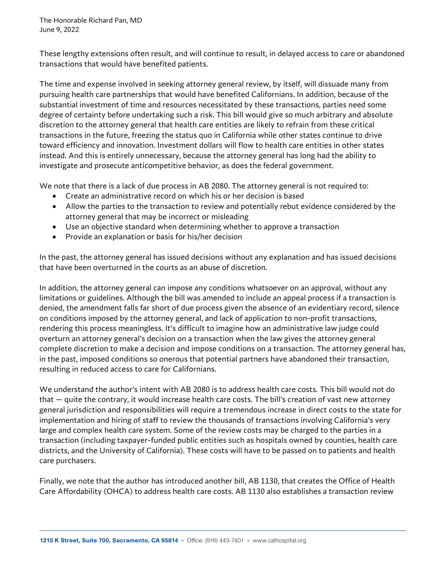The Honorable Richard Pan, MD June 9, 2022

These lengthy extensions often result, and will continue to result, in delayed access to care or abandoned transactions that would have benefited patients.

The time and expense involved in seeking attorney general review, by itself, will dissuade many from pursuing health care partnerships that would have benefited Californians. In addition, because of the substantial investment of time and resources necessitated by these transactions, parties need some degree of certainty before undertaking such a risk. This bill would give so much arbitrary and absolute discretion to the attorney general that health care entities are likely to refrain from these critical transactions in the future, freezing the status quo in California while other states continue to drive toward efficiency and innovation. Investment dollars will flow to health care entities in other states instead. And this is entirely unnecessary, because the attorney general has long had the ability to investigate and prosecute anticompetitive behavior, as does the federal government.

We note that there is a lack of due process in AB 2080. The attorney general is not required to:

- Create an administrative record on which his or her decision is based
- Allow the parties to the transaction to review and potentially rebut evidence considered by the attorney general that may be incorrect or misleading
- Use an objective standard when determining whether to approve a transaction
- Provide an explanation or basis for his/her decision

In the past, the attorney general has issued decisions without any explanation and has issued decisions that have been overturned in the courts as an abuse of discretion.

In addition, the attorney general can impose any conditions whatsoever on an approval, without any limitations or guidelines. Although the bill was amended to include an appeal process if a transaction is denied, the amendment falls far short of due process given the absence of an evidentiary record, silence on conditions imposed by the attorney general, and lack of application to non-profit transactions, rendering this process meaningless. It's difficult to imagine how an administrative law judge could overturn an attorney general's decision on a transaction when the law gives the attorney general complete discretion to make a decision and impose conditions on a transaction. The attorney general has, in the past, imposed conditions so onerous that potential partners have abandoned their transaction, resulting in reduced access to care for Californians.

We understand the author's intent with AB 2080 is to address health care costs. This bill would not do that — quite the contrary, it would increase health care costs. The bill's creation of vast new attorney general jurisdiction and responsibilities will require a tremendous increase in direct costs to the state for implementation and hiring of staff to review the thousands of transactions involving California's very large and complex health care system. Some of the review costs may be charged to the parties in a transaction (including taxpayer-funded public entities such as hospitals owned by counties, health care districts, and the University of California). These costs will have to be passed on to patients and health care purchasers.

Finally, we note that the author has introduced another bill, AB 1130, that creates the Office of Health Care Affordability (OHCA) to address health care costs. AB 1130 also establishes a transaction review